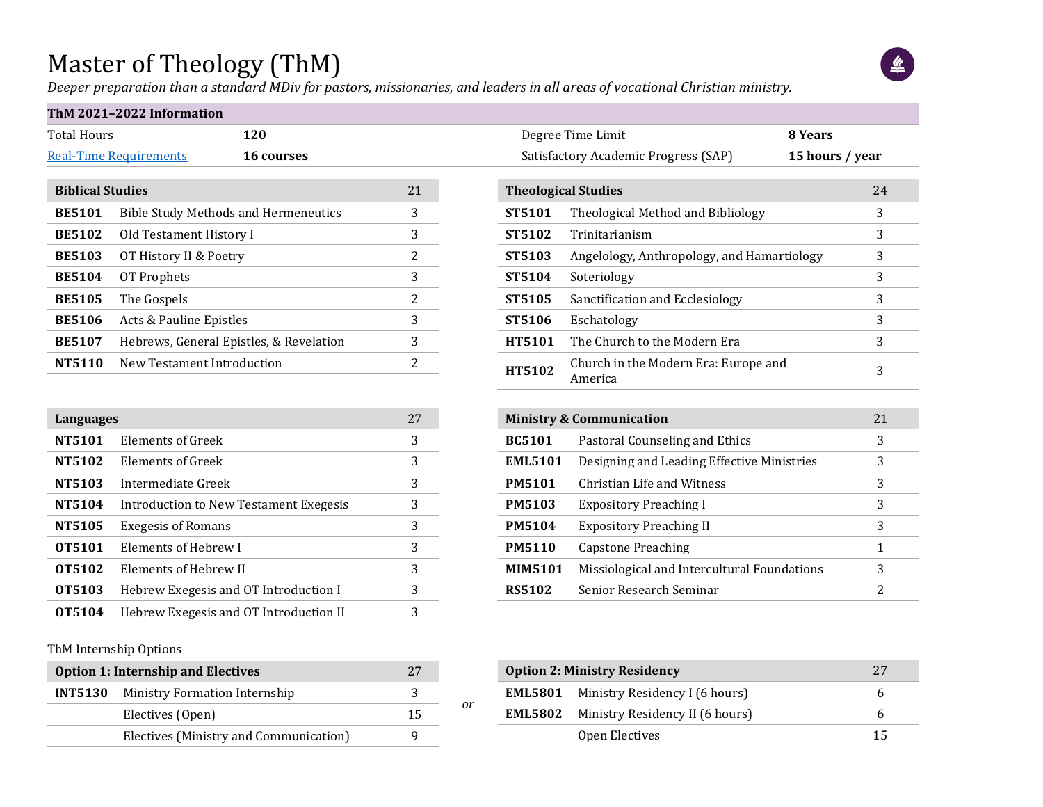#### Master of Theology (ThM)

*Deeper preparation than a standard MDiv for pastors, missionaries, and leaders in all areas of vocational Christian ministry.*



#### **ThM 2021–2022 Information**

|                               | ---               |
|-------------------------------|-------------------|
| <b>Real-Time Requirements</b> | <b>16 courses</b> |

*or*

| <b>Biblical Studies</b> | 21                                          |                          |
|-------------------------|---------------------------------------------|--------------------------|
| <b>BE5101</b>           | <b>Bible Study Methods and Hermeneutics</b> | 3                        |
| <b>BE5102</b>           | Old Testament History I                     | 3                        |
| <b>BE5103</b>           | OT History II & Poetry                      | 2                        |
| <b>BE5104</b>           | OT Prophets                                 | 3                        |
| <b>BE5105</b>           | The Gospels                                 | 2                        |
| <b>BE5106</b>           | Acts & Pauline Epistles                     | 3                        |
| <b>BE5107</b>           | Hebrews, General Epistles, & Revelation     | 3                        |
| NT5110                  | New Testament Introduction                  | $\overline{\mathcal{L}}$ |

|               | Languages                              |   |  |  |  |  |  |  |
|---------------|----------------------------------------|---|--|--|--|--|--|--|
| <b>NT5101</b> | Elements of Greek                      | 3 |  |  |  |  |  |  |
| NT5102        | Elements of Greek                      | 3 |  |  |  |  |  |  |
| NT5103        | Intermediate Greek                     | 3 |  |  |  |  |  |  |
| NT5104        | Introduction to New Testament Exegesis | 3 |  |  |  |  |  |  |
| NT5105        | <b>Exegesis of Romans</b>              | 3 |  |  |  |  |  |  |
| OT5101        | Elements of Hebrew I                   | 3 |  |  |  |  |  |  |
| <b>OT5102</b> | Elements of Hebrew II                  | 3 |  |  |  |  |  |  |
| <b>OT5103</b> | Hebrew Exegesis and OT Introduction I  | 3 |  |  |  |  |  |  |
| OT5104        | Hebrew Exegesis and OT Introduction II | 3 |  |  |  |  |  |  |

#### ThM Internship Options

| <b>Option 1: Internship and Electives</b> |                                              |    |
|-------------------------------------------|----------------------------------------------|----|
|                                           | <b>INT5130</b> Ministry Formation Internship |    |
|                                           | Electives (Open)                             | 15 |
|                                           | Electives (Ministry and Communication)       |    |

| Total Hours             | 120                                                |    | Degree Time Limit<br>8 Years                              |                 |
|-------------------------|----------------------------------------------------|----|-----------------------------------------------------------|-----------------|
|                         | <b>Real-Time Requirements</b><br><b>16 courses</b> |    | Satisfactory Academic Progress (SAP)                      | 15 hours / year |
|                         |                                                    |    |                                                           |                 |
| <b>Biblical Studies</b> |                                                    | 21 | <b>Theological Studies</b>                                | 24              |
| <b>BE5101</b>           | <b>Bible Study Methods and Hermeneutics</b>        | 3  | ST5101<br>Theological Method and Bibliology               | 3               |
| <b>BE5102</b>           | Old Testament History I                            | 3  | <b>ST5102</b><br>Trinitarianism                           | 3               |
| <b>BE5103</b>           | OT History II & Poetry                             | 2  | Angelology, Anthropology, and Hamartiology<br>ST5103      | 3               |
| <b>BE5104</b>           | OT Prophets                                        | 3  | ST5104<br>Soteriology                                     | 3               |
| <b>BE5105</b>           | The Gospels                                        | 2  | Sanctification and Ecclesiology<br>ST5105                 | 3               |
| <b>BE5106</b>           | Acts & Pauline Epistles                            | 3  | ST5106<br>Eschatology                                     | 3               |
| <b>BE5107</b>           | Hebrews, General Epistles, & Revelation            | 3  | The Church to the Modern Era<br><b>HT5101</b>             | 3               |
| NT5110                  | New Testament Introduction                         |    | Church in the Modern Era: Europe and<br>HT5102<br>America | 3               |

|                | <b>Ministry &amp; Communication</b><br>21   |   |  |  |  |  |  |  |  |  |  |  |
|----------------|---------------------------------------------|---|--|--|--|--|--|--|--|--|--|--|
| <b>BC5101</b>  | Pastoral Counseling and Ethics              | 3 |  |  |  |  |  |  |  |  |  |  |
| <b>EML5101</b> | Designing and Leading Effective Ministries  | 3 |  |  |  |  |  |  |  |  |  |  |
| <b>PM5101</b>  | Christian Life and Witness                  | 3 |  |  |  |  |  |  |  |  |  |  |
| <b>PM5103</b>  | <b>Expository Preaching I</b>               | 3 |  |  |  |  |  |  |  |  |  |  |
| <b>PM5104</b>  | <b>Expository Preaching II</b>              | 3 |  |  |  |  |  |  |  |  |  |  |
| <b>PM5110</b>  | Capstone Preaching                          | 1 |  |  |  |  |  |  |  |  |  |  |
| <b>MIM5101</b> | Missiological and Intercultural Foundations | 3 |  |  |  |  |  |  |  |  |  |  |
| <b>RS5102</b>  | Senior Research Seminar                     | 2 |  |  |  |  |  |  |  |  |  |  |

| <b>Option 2: Ministry Residency</b> | 27                                             |    |
|-------------------------------------|------------------------------------------------|----|
|                                     | <b>EML5801</b> Ministry Residency I (6 hours)  |    |
|                                     | <b>EML5802</b> Ministry Residency II (6 hours) |    |
|                                     | Open Electives                                 | 15 |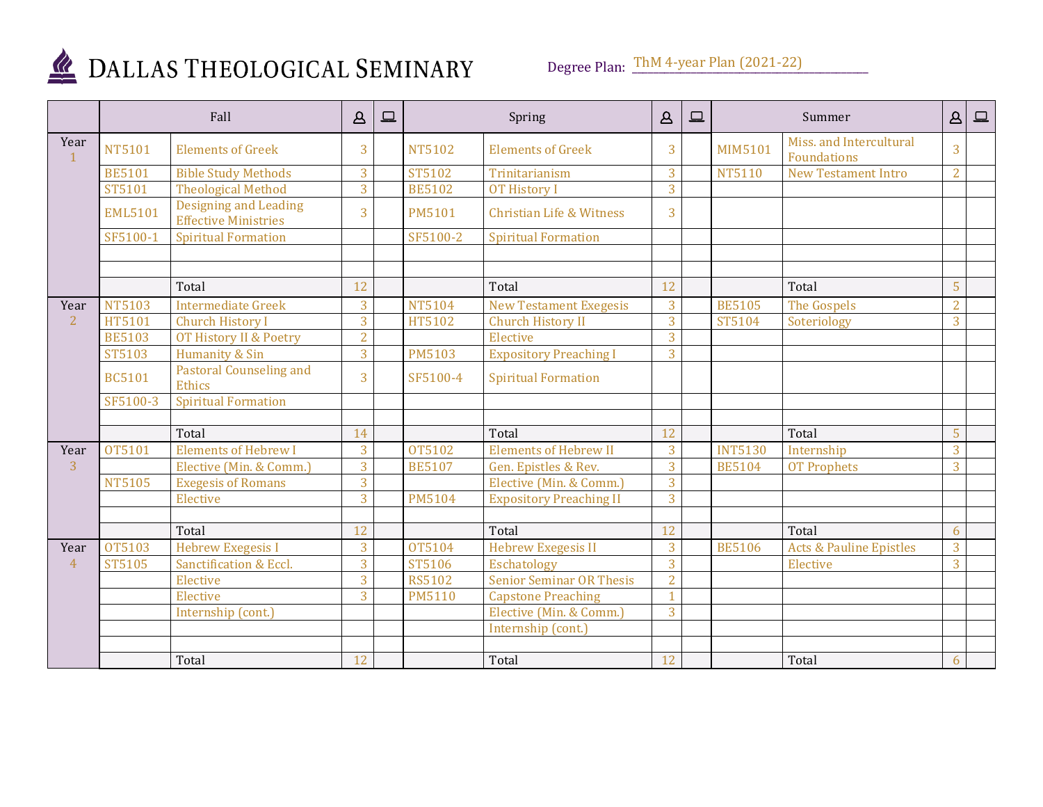

Degree Plan:  $\underline{ThM}$  4-year Plan (2021-22)

|                |                | Fall                                                        | $\mathcal{L}$  | $\Box$ |               | Spring                          | $\Delta$       | $\boxed{\square}$ |                | Summer                                 | $\Delta$       | $\qquad \qquad \Box$ |
|----------------|----------------|-------------------------------------------------------------|----------------|--------|---------------|---------------------------------|----------------|-------------------|----------------|----------------------------------------|----------------|----------------------|
| Year           | <b>NT5101</b>  | <b>Elements of Greek</b>                                    | 3              |        | <b>NT5102</b> | <b>Elements of Greek</b>        | 3              |                   | MIM5101        | Miss, and Intercultural<br>Foundations | 3              |                      |
|                | <b>BE5101</b>  | <b>Bible Study Methods</b>                                  | 3              |        | ST5102        | Trinitarianism                  | 3              |                   | <b>NT5110</b>  | <b>New Testament Intro</b>             | 2              |                      |
|                | ST5101         | <b>Theological Method</b>                                   | $\overline{3}$ |        | <b>BE5102</b> | <b>OT History I</b>             | $\overline{3}$ |                   |                |                                        |                |                      |
|                | <b>EML5101</b> | <b>Designing and Leading</b><br><b>Effective Ministries</b> | 3              |        | <b>PM5101</b> | Christian Life & Witness        | 3              |                   |                |                                        |                |                      |
|                | SF5100-1       | <b>Spiritual Formation</b>                                  |                |        | SF5100-2      | <b>Spiritual Formation</b>      |                |                   |                |                                        |                |                      |
|                |                |                                                             |                |        |               |                                 |                |                   |                |                                        |                |                      |
|                |                |                                                             |                |        |               |                                 |                |                   |                |                                        |                |                      |
|                |                | Total                                                       | 12             |        |               | Total                           | 12             |                   |                | Total                                  | 5              |                      |
| Year           | <b>NT5103</b>  | <b>Intermediate Greek</b>                                   | 3              |        | <b>NT5104</b> | <b>New Testament Exegesis</b>   | 3              |                   | <b>BE5105</b>  | The Gospels                            | $\overline{2}$ |                      |
| 2              | HT5101         | <b>Church History I</b>                                     | $\overline{3}$ |        | HT5102        | <b>Church History II</b>        | 3              |                   | ST5104         | Soteriology                            | $\overline{3}$ |                      |
|                | <b>BE5103</b>  | OT History II & Poetry                                      | $\overline{2}$ |        |               | Elective                        | 3              |                   |                |                                        |                |                      |
|                | <b>ST5103</b>  | Humanity & Sin                                              | $\overline{3}$ |        | <b>PM5103</b> | <b>Expository Preaching I</b>   | 3              |                   |                |                                        |                |                      |
|                | <b>BC5101</b>  | <b>Pastoral Counseling and</b><br><b>Ethics</b>             | $\overline{3}$ |        | SF5100-4      | <b>Spiritual Formation</b>      |                |                   |                |                                        |                |                      |
|                | SF5100-3       | <b>Spiritual Formation</b>                                  |                |        |               |                                 |                |                   |                |                                        |                |                      |
|                |                |                                                             |                |        |               |                                 |                |                   |                |                                        |                |                      |
|                |                | Total                                                       | 14             |        |               | Total                           | 12             |                   |                | Total                                  | 5              |                      |
| Year           | OT5101         | <b>Elements of Hebrew I</b>                                 | 3              |        | OT5102        | <b>Elements of Hebrew II</b>    | 3              |                   | <b>INT5130</b> | Internship                             | $\overline{3}$ |                      |
| 3              |                | Elective (Min. & Comm.)                                     | $\overline{3}$ |        | <b>BE5107</b> | Gen. Epistles & Rev.            | $\overline{3}$ |                   | <b>BE5104</b>  | <b>OT Prophets</b>                     | $\overline{3}$ |                      |
|                | <b>NT5105</b>  | <b>Exegesis of Romans</b>                                   | 3              |        |               | Elective (Min. & Comm.)         | 3              |                   |                |                                        |                |                      |
|                |                | Elective                                                    | $\overline{3}$ |        | <b>PM5104</b> | <b>Expository Preaching II</b>  | 3              |                   |                |                                        |                |                      |
|                |                |                                                             |                |        |               |                                 |                |                   |                |                                        |                |                      |
|                |                | Total                                                       | 12             |        |               | Total                           | 12             |                   |                | Total                                  | 6              |                      |
| Year           | OT5103         | <b>Hebrew Exegesis I</b>                                    | $\overline{3}$ |        | OT5104        | <b>Hebrew Exegesis II</b>       | 3              |                   | <b>BE5106</b>  | <b>Acts &amp; Pauline Epistles</b>     | 3              |                      |
| $\overline{4}$ | <b>ST5105</b>  | Sanctification & Eccl.                                      | $\overline{3}$ |        | ST5106        | <b>Eschatology</b>              | 3              |                   |                | Elective                               | $\overline{3}$ |                      |
|                |                | Elective                                                    | $\overline{3}$ |        | <b>RS5102</b> | <b>Senior Seminar OR Thesis</b> | $\overline{2}$ |                   |                |                                        |                |                      |
|                |                | Elective                                                    | $\overline{3}$ |        | <b>PM5110</b> | <b>Capstone Preaching</b>       | $\mathbf{1}$   |                   |                |                                        |                |                      |
|                |                | Internship (cont.)                                          |                |        |               | Elective (Min. & Comm.)         | 3              |                   |                |                                        |                |                      |
|                |                |                                                             |                |        |               | Internship (cont.)              |                |                   |                |                                        |                |                      |
|                |                |                                                             |                |        |               |                                 |                |                   |                |                                        |                |                      |
|                |                | Total                                                       | 12             |        |               | Total                           | 12             |                   |                | Total                                  | 6              |                      |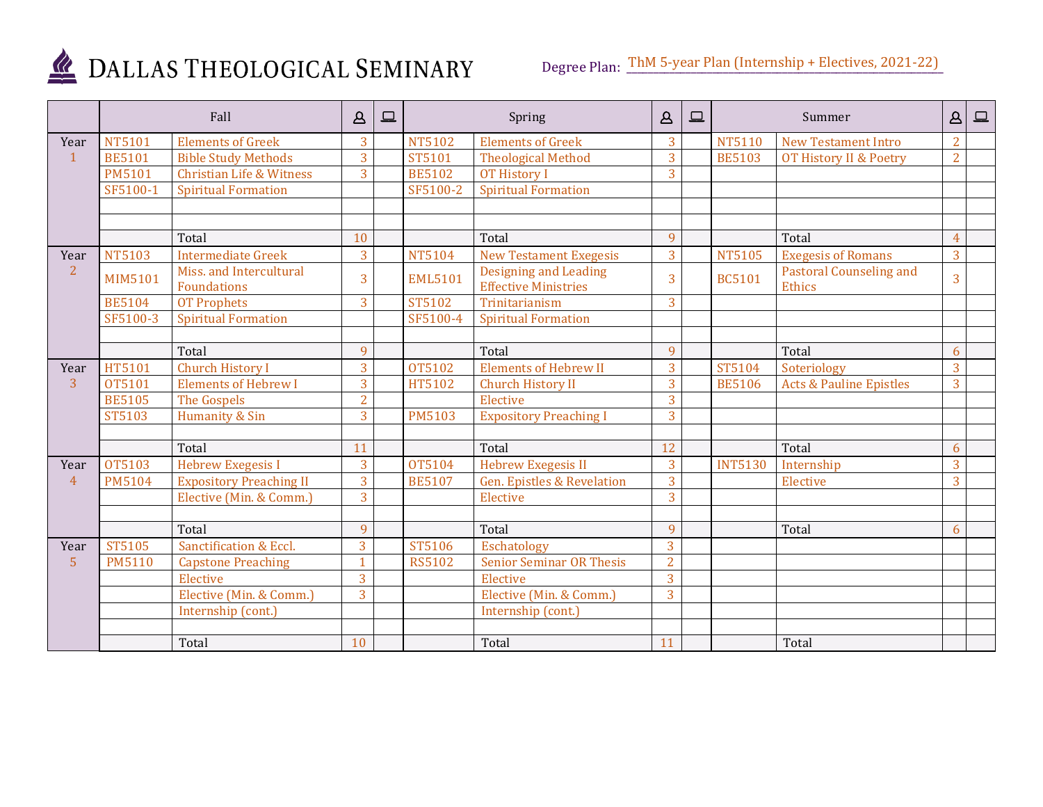

|                |                | Fall                                          | $\Delta$       | $\Box$ |                | Spring                                                      | $\Delta$       | $\Box$ |                | Summer                                          | Δ              | $\boxed{\square}$ |
|----------------|----------------|-----------------------------------------------|----------------|--------|----------------|-------------------------------------------------------------|----------------|--------|----------------|-------------------------------------------------|----------------|-------------------|
| Year           | <b>NT5101</b>  | <b>Elements of Greek</b>                      | $\overline{3}$ |        | <b>NT5102</b>  | <b>Elements of Greek</b>                                    | 3              |        | <b>NT5110</b>  | <b>New Testament Intro</b>                      | $\overline{2}$ |                   |
| $\mathbf{1}$   | <b>BE5101</b>  | <b>Bible Study Methods</b>                    | $\overline{3}$ |        | ST5101         | <b>Theological Method</b>                                   | 3              |        | <b>BE5103</b>  | OT History II & Poetry                          | $\overline{2}$ |                   |
|                | <b>PM5101</b>  | <b>Christian Life &amp; Witness</b>           | 3              |        | <b>BE5102</b>  | <b>OT History I</b>                                         | 3              |        |                |                                                 |                |                   |
|                | SF5100-1       | <b>Spiritual Formation</b>                    |                |        | SF5100-2       | <b>Spiritual Formation</b>                                  |                |        |                |                                                 |                |                   |
|                |                |                                               |                |        |                |                                                             |                |        |                |                                                 |                |                   |
|                |                |                                               |                |        |                |                                                             |                |        |                |                                                 |                |                   |
|                |                | Total                                         | 10             |        |                | Total                                                       | 9              |        |                | Total                                           | $\overline{A}$ |                   |
| Year           | <b>NT5103</b>  | <b>Intermediate Greek</b>                     | 3              |        | <b>NT5104</b>  | <b>New Testament Exegesis</b>                               | 3              |        | <b>NT5105</b>  | <b>Exegesis of Romans</b>                       | 3              |                   |
| $\overline{2}$ | <b>MIM5101</b> | Miss. and Intercultural<br><b>Foundations</b> | $\overline{3}$ |        | <b>EML5101</b> | <b>Designing and Leading</b><br><b>Effective Ministries</b> | 3              |        | <b>BC5101</b>  | <b>Pastoral Counseling and</b><br><b>Ethics</b> | 3              |                   |
|                | <b>BE5104</b>  | <b>OT Prophets</b>                            | $\overline{3}$ |        | ST5102         | Trinitarianism                                              | 3              |        |                |                                                 |                |                   |
|                | SF5100-3       | <b>Spiritual Formation</b>                    |                |        | SF5100-4       | <b>Spiritual Formation</b>                                  |                |        |                |                                                 |                |                   |
|                |                |                                               |                |        |                |                                                             |                |        |                |                                                 |                |                   |
|                |                | Total                                         | 9              |        |                | Total                                                       | 9              |        |                | Total                                           | 6              |                   |
| Year           | HT5101         | Church History I                              | $\overline{3}$ |        | OT5102         | <b>Elements of Hebrew II</b>                                | 3              |        | ST5104         | Soteriology                                     | 3              |                   |
| $\overline{3}$ | OT5101         | <b>Elements of Hebrew I</b>                   | 3              |        | HT5102         | Church History II                                           | 3              |        | <b>BE5106</b>  | <b>Acts &amp; Pauline Epistles</b>              | $\overline{3}$ |                   |
|                | <b>BE5105</b>  | The Gospels                                   | $\overline{2}$ |        |                | Elective                                                    | $\overline{3}$ |        |                |                                                 |                |                   |
|                | ST5103         | Humanity & Sin                                | $\overline{3}$ |        | <b>PM5103</b>  | <b>Expository Preaching I</b>                               | 3              |        |                |                                                 |                |                   |
|                |                |                                               |                |        |                |                                                             |                |        |                |                                                 |                |                   |
|                |                | Total                                         | 11             |        |                | Total                                                       | 12             |        |                | Total                                           | 6              |                   |
| Year           | OT5103         | Hebrew Exegesis I                             | 3              |        | OT5104         | <b>Hebrew Exegesis II</b>                                   | 3              |        | <b>INT5130</b> | Internship                                      | 3              |                   |
| $\overline{4}$ | <b>PM5104</b>  | <b>Expository Preaching II</b>                | $\overline{3}$ |        | <b>BE5107</b>  | <b>Gen. Epistles &amp; Revelation</b>                       | 3              |        |                | Elective                                        | $\overline{3}$ |                   |
|                |                | Elective (Min. & Comm.)                       | 3              |        |                | Elective                                                    | 3              |        |                |                                                 |                |                   |
|                |                |                                               |                |        |                |                                                             |                |        |                |                                                 |                |                   |
|                |                | Total                                         | 9              |        |                | Total                                                       | 9              |        |                | Total                                           | 6              |                   |
| Year           | ST5105         | Sanctification & Eccl.                        | 3              |        | ST5106         | Eschatology                                                 | 3              |        |                |                                                 |                |                   |
| $\overline{5}$ | <b>PM5110</b>  | <b>Capstone Preaching</b>                     | $\mathbf{1}$   |        | <b>RS5102</b>  | <b>Senior Seminar OR Thesis</b>                             | $\overline{2}$ |        |                |                                                 |                |                   |
|                |                | Elective                                      | 3              |        |                | Elective                                                    | 3              |        |                |                                                 |                |                   |
|                |                | Elective (Min. & Comm.)                       | 3              |        |                | Elective (Min. & Comm.)                                     | 3              |        |                |                                                 |                |                   |
|                |                | Internship (cont.)                            |                |        |                | Internship (cont.)                                          |                |        |                |                                                 |                |                   |
|                |                |                                               |                |        |                |                                                             |                |        |                |                                                 |                |                   |
|                |                | Total                                         | 10             |        |                | Total                                                       | 11             |        |                | Total                                           |                |                   |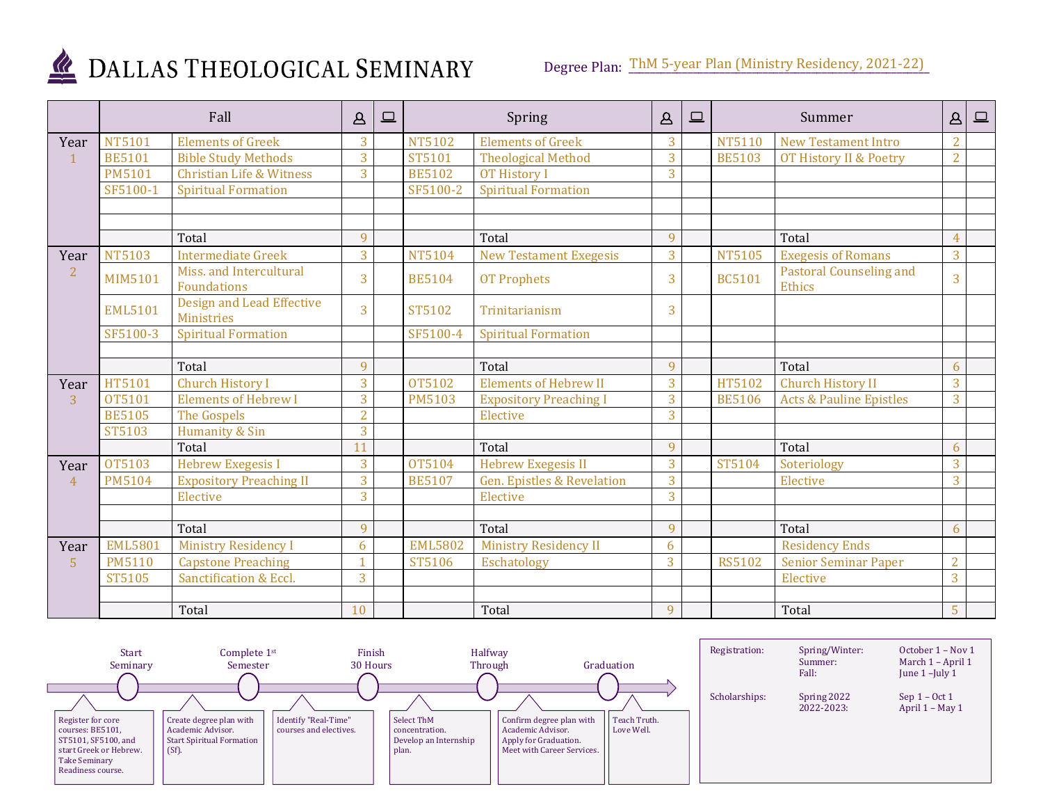

|                | Fall           |                                                       | $\Delta$       | ▣ |                | Spring                                | $\Delta$       | $\square$ |               | Summer                                   | $\mathfrak{\underline{\alpha}}$ | $\boxed{\square}$ |
|----------------|----------------|-------------------------------------------------------|----------------|---|----------------|---------------------------------------|----------------|-----------|---------------|------------------------------------------|---------------------------------|-------------------|
| Year           | <b>NT5101</b>  | <b>Elements of Greek</b>                              | 3              |   | <b>NT5102</b>  | <b>Elements of Greek</b>              | 3              |           | <b>NT5110</b> | <b>New Testament Intro</b>               | $\overline{2}$                  |                   |
| $\mathbf{1}$   | <b>BE5101</b>  | <b>Bible Study Methods</b>                            | $\overline{3}$ |   | ST5101         | <b>Theological Method</b>             | 3              |           | <b>BE5103</b> | OT History II & Poetry                   | $\overline{2}$                  |                   |
|                | <b>PM5101</b>  | <b>Christian Life &amp; Witness</b>                   | $\overline{3}$ |   | <b>BE5102</b>  | <b>OT History I</b>                   | 3              |           |               |                                          |                                 |                   |
|                | SF5100-1       | <b>Spiritual Formation</b>                            |                |   | SF5100-2       | <b>Spiritual Formation</b>            |                |           |               |                                          |                                 |                   |
|                |                |                                                       |                |   |                |                                       |                |           |               |                                          |                                 |                   |
|                |                |                                                       |                |   |                |                                       |                |           |               |                                          |                                 |                   |
|                |                | Total                                                 | 9              |   |                | Total                                 | 9              |           |               | Total                                    |                                 |                   |
| Year           | <b>NT5103</b>  | <b>Intermediate Greek</b>                             | $\overline{3}$ |   | <b>NT5104</b>  | <b>New Testament Exegesis</b>         | 3              |           | <b>NT5105</b> | <b>Exegesis of Romans</b>                | 3                               |                   |
| $\overline{2}$ | <b>MIM5101</b> | Miss, and Intercultural<br>Foundations                | 3              |   | <b>BE5104</b>  | <b>OT Prophets</b>                    | 3              |           | <b>BC5101</b> | <b>Pastoral Counseling and</b><br>Ethics | 3                               |                   |
|                | <b>EML5101</b> | <b>Design and Lead Effective</b><br><b>Ministries</b> | 3              |   | ST5102         | Trinitarianism                        | 3              |           |               |                                          |                                 |                   |
|                | SF5100-3       | <b>Spiritual Formation</b>                            |                |   | SF5100-4       | <b>Spiritual Formation</b>            |                |           |               |                                          |                                 |                   |
|                |                |                                                       |                |   |                |                                       |                |           |               |                                          |                                 |                   |
|                |                | Total                                                 | 9              |   |                | Total                                 | 9              |           |               | Total                                    | 6                               |                   |
| Year           | HT5101         | <b>Church History I</b>                               | $\overline{3}$ |   | OT5102         | <b>Elements of Hebrew II</b>          | 3              |           | HT5102        | <b>Church History II</b>                 | $\overline{3}$                  |                   |
| 3              | OT5101         | <b>Elements of Hebrew I</b>                           | $\overline{3}$ |   | <b>PM5103</b>  | <b>Expository Preaching I</b>         | 3              |           | <b>BE5106</b> | <b>Acts &amp; Pauline Epistles</b>       | 3                               |                   |
|                | <b>BE5105</b>  | The Gospels                                           | $\overline{2}$ |   |                | Elective                              | 3              |           |               |                                          |                                 |                   |
|                | ST5103         | Humanity & Sin                                        | $\overline{3}$ |   |                |                                       |                |           |               |                                          |                                 |                   |
|                |                | Total                                                 | 11             |   |                | Total                                 | 9              |           |               | Total                                    | 6                               |                   |
| Year           | OT5103         | <b>Hebrew Exegesis I</b>                              | 3              |   | <b>OT5104</b>  | <b>Hebrew Exegesis II</b>             | 3              |           | ST5104        | Soteriology                              | 3                               |                   |
| $\overline{4}$ | <b>PM5104</b>  | <b>Expository Preaching II</b>                        | $\overline{3}$ |   | <b>BE5107</b>  | <b>Gen. Epistles &amp; Revelation</b> | 3              |           |               | Elective                                 | $\overline{3}$                  |                   |
|                |                | Elective                                              | $\overline{3}$ |   |                | Elective                              | $\overline{3}$ |           |               |                                          |                                 |                   |
|                |                |                                                       |                |   |                |                                       |                |           |               |                                          |                                 |                   |
|                |                | Total                                                 | $\overline{q}$ |   |                | Total                                 | $\mathbf{q}$   |           |               | Total                                    | 6                               |                   |
| Year           | <b>EML5801</b> | <b>Ministry Residency I</b>                           | 6              |   | <b>EML5802</b> | <b>Ministry Residency II</b>          | 6              |           |               | <b>Residency Ends</b>                    |                                 |                   |
| $\overline{5}$ | <b>PM5110</b>  | <b>Capstone Preaching</b>                             | 1              |   | ST5106         | Eschatology                           | 3              |           | <b>RS5102</b> | <b>Senior Seminar Paper</b>              | $\overline{2}$                  |                   |
|                | ST5105         | Sanctification & Eccl.                                | $\overline{3}$ |   |                |                                       |                |           |               | Elective                                 | 3                               |                   |
|                |                |                                                       |                |   |                |                                       |                |           |               |                                          |                                 |                   |
|                |                | Total                                                 | 10             |   |                | Total                                 | 9              |           |               | Total                                    | 5                               |                   |

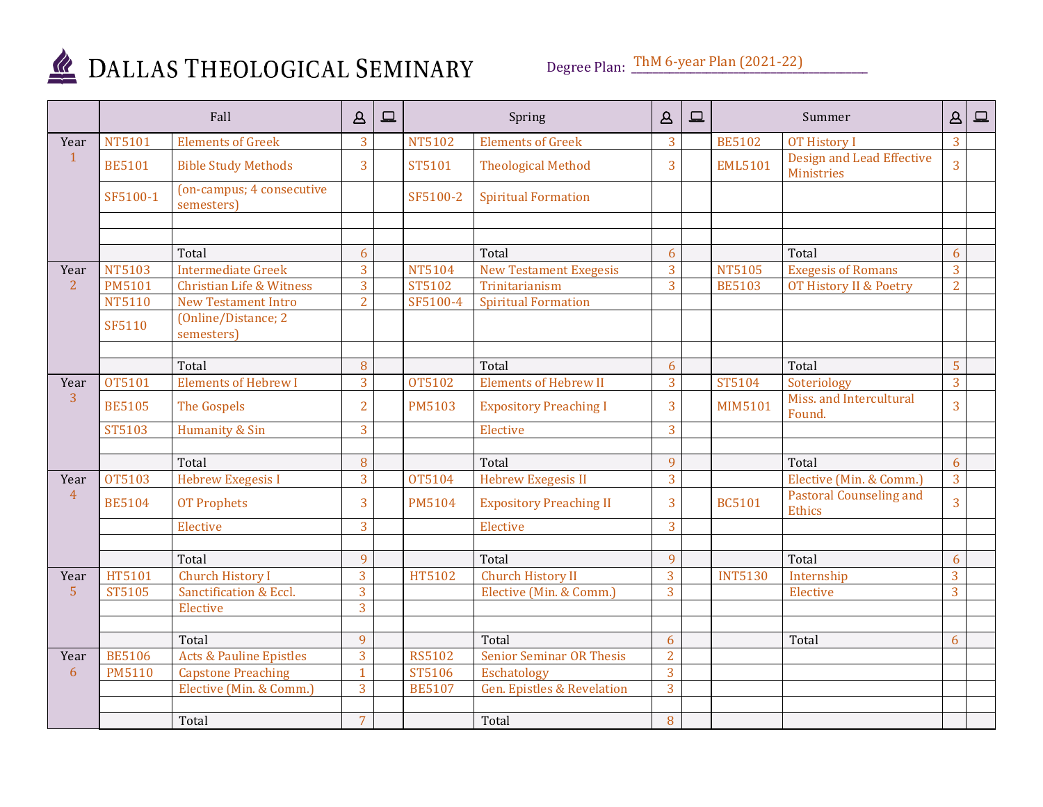

Degree Plan:  $\underline{\text{ThM 6-year Plan} (2021-22)}$ 

|                |               | Fall                                    | $\Delta$       | $\Box$ |               | Spring                                | $\Delta$       | $\boxed{ }$ |                | Summer                                   | $\Delta$       | $\boxed{\square}$ |
|----------------|---------------|-----------------------------------------|----------------|--------|---------------|---------------------------------------|----------------|-------------|----------------|------------------------------------------|----------------|-------------------|
| Year           | <b>NT5101</b> | <b>Elements of Greek</b>                | 3              |        | NT5102        | <b>Elements of Greek</b>              | 3              |             | <b>BE5102</b>  | OT History I                             | $\overline{3}$ |                   |
| $\mathbf{1}$   | <b>BE5101</b> | <b>Bible Study Methods</b>              | 3              |        | ST5101        | <b>Theological Method</b>             | 3              |             | <b>EML5101</b> | Design and Lead Effective<br>Ministries  | $\overline{3}$ |                   |
|                | SF5100-1      | (on-campus; 4 consecutive<br>semesters) |                |        | SF5100-2      | <b>Spiritual Formation</b>            |                |             |                |                                          |                |                   |
|                |               |                                         |                |        |               |                                       |                |             |                |                                          |                |                   |
|                |               |                                         |                |        |               |                                       |                |             |                |                                          |                |                   |
|                |               | Total                                   | 6              |        |               | Total                                 | 6              |             |                | Total                                    | 6              |                   |
| Year           | <b>NT5103</b> | <b>Intermediate Greek</b>               | $\overline{3}$ |        | <b>NT5104</b> | <b>New Testament Exegesis</b>         | 3              |             | <b>NT5105</b>  | <b>Exegesis of Romans</b>                | $\overline{3}$ |                   |
| 2              | <b>PM5101</b> | <b>Christian Life &amp; Witness</b>     | 3              |        | ST5102        | Trinitarianism                        | 3              |             | <b>BE5103</b>  | OT History II & Poetry                   | $\overline{2}$ |                   |
|                | NT5110        | <b>New Testament Intro</b>              | $\overline{2}$ |        | SF5100-4      | <b>Spiritual Formation</b>            |                |             |                |                                          |                |                   |
|                | SF5110        | (Online/Distance; 2<br>semesters)       |                |        |               |                                       |                |             |                |                                          |                |                   |
|                |               |                                         |                |        |               |                                       |                |             |                |                                          |                |                   |
|                |               | Total                                   | 8              |        |               | Total                                 | 6              |             |                | Total                                    | 5              |                   |
| Year           | OT5101        | <b>Elements of Hebrew I</b>             | 3              |        | OT5102        | <b>Elements of Hebrew II</b>          | 3              |             | ST5104         | Soteriology                              | 3              |                   |
| 3              | <b>BE5105</b> | The Gospels                             | $\overline{2}$ |        | <b>PM5103</b> | <b>Expository Preaching I</b>         | 3              |             | <b>MIM5101</b> | Miss. and Intercultural<br>Found.        | $\overline{3}$ |                   |
|                | ST5103        | Humanity & Sin                          | 3              |        |               | Elective                              | 3              |             |                |                                          |                |                   |
|                |               |                                         |                |        |               |                                       |                |             |                |                                          |                |                   |
|                |               | Total                                   | 8              |        |               | Total                                 | $\mathbf{q}$   |             |                | Total                                    | 6              |                   |
| Year           | <b>OT5103</b> | <b>Hebrew Exegesis I</b>                | $\overline{3}$ |        | OT5104        | <b>Hebrew Exegesis II</b>             | $\overline{3}$ |             |                | Elective (Min. & Comm.)                  | 3              |                   |
| $\overline{4}$ | <b>BE5104</b> | <b>OT Prophets</b>                      | 3              |        | <b>PM5104</b> | <b>Expository Preaching II</b>        | 3              |             | <b>BC5101</b>  | <b>Pastoral Counseling and</b><br>Ethics | 3              |                   |
|                |               | Elective                                | 3              |        |               | Elective                              | 3              |             |                |                                          |                |                   |
|                |               |                                         |                |        |               |                                       |                |             |                |                                          |                |                   |
|                |               | Total                                   | 9              |        |               | Total                                 | 9              |             |                | Total                                    | 6              |                   |
| Year           | HT5101        | <b>Church History I</b>                 | 3              |        | HT5102        | <b>Church History II</b>              | $\overline{3}$ |             | <b>INT5130</b> | Internship                               | 3              |                   |
| $5\phantom{1}$ | ST5105        | Sanctification & Eccl.                  | 3              |        |               | Elective (Min. & Comm.)               | $\overline{3}$ |             |                | Elective                                 | $\overline{3}$ |                   |
|                |               | Elective                                | $\overline{3}$ |        |               |                                       |                |             |                |                                          |                |                   |
|                |               |                                         |                |        |               |                                       |                |             |                |                                          |                |                   |
|                |               | Total                                   | 9              |        |               | Total                                 | 6              |             |                | Total                                    | 6              |                   |
| Year           | <b>BE5106</b> | <b>Acts &amp; Pauline Epistles</b>      | $\overline{3}$ |        | <b>RS5102</b> | <b>Senior Seminar OR Thesis</b>       | $\overline{2}$ |             |                |                                          |                |                   |
| 6              | <b>PM5110</b> | <b>Capstone Preaching</b>               | $\mathbf{1}$   |        | ST5106        | Eschatology                           | 3              |             |                |                                          |                |                   |
|                |               | Elective (Min. & Comm.)                 | 3              |        | <b>BE5107</b> | <b>Gen. Epistles &amp; Revelation</b> | 3              |             |                |                                          |                |                   |
|                |               |                                         |                |        |               |                                       |                |             |                |                                          |                |                   |
|                |               | Total                                   | $\overline{7}$ |        |               | Total                                 | 8              |             |                |                                          |                |                   |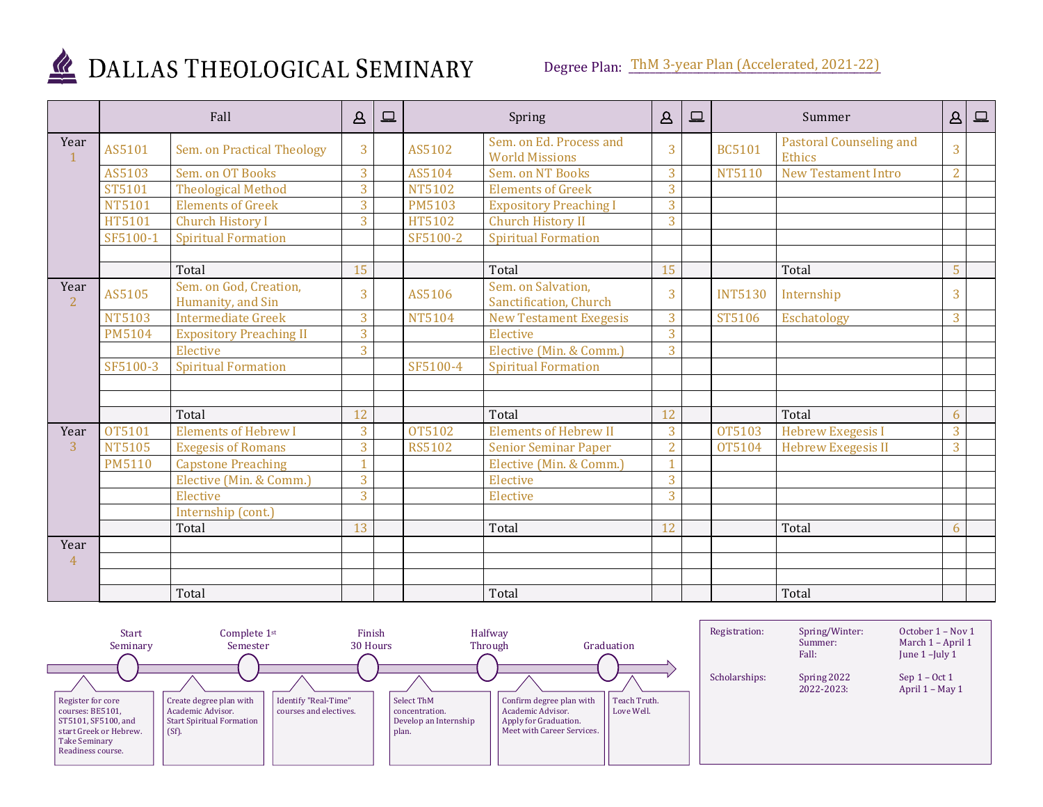

|                        | Fall          |                                             | $\mathbf{A}$   | 므 | Spring        |                                                  | $\Delta$       | 므 | Summer         |                                          | $\Delta$       | 므 |
|------------------------|---------------|---------------------------------------------|----------------|---|---------------|--------------------------------------------------|----------------|---|----------------|------------------------------------------|----------------|---|
| Year<br>$\mathbf{1}$   | AS5101        | Sem. on Practical Theology                  | 3              |   | AS5102        | Sem. on Ed. Process and<br><b>World Missions</b> | 3              |   | <b>BC5101</b>  | <b>Pastoral Counseling and</b><br>Ethics | 3              |   |
|                        | AS5103        | Sem. on OT Books                            | $\overline{3}$ |   | AS5104        | Sem. on NT Books                                 | 3              |   | <b>NT5110</b>  | <b>New Testament Intro</b>               | $\overline{2}$ |   |
|                        | ST5101        | <b>Theological Method</b>                   | $\overline{3}$ |   | <b>NT5102</b> | <b>Elements of Greek</b>                         | 3              |   |                |                                          |                |   |
|                        | <b>NT5101</b> | <b>Elements of Greek</b>                    | 3              |   | <b>PM5103</b> | <b>Expository Preaching I</b>                    | 3              |   |                |                                          |                |   |
|                        | HT5101        | <b>Church History I</b>                     | 3              |   | HT5102        | Church History II                                | 3              |   |                |                                          |                |   |
|                        | SF5100-1      | <b>Spiritual Formation</b>                  |                |   | SF5100-2      | <b>Spiritual Formation</b>                       |                |   |                |                                          |                |   |
|                        |               |                                             |                |   |               |                                                  |                |   |                |                                          |                |   |
|                        |               | Total                                       | 15             |   |               | Total                                            | 15             |   |                | Total                                    | 5              |   |
| Year<br>$\overline{2}$ | AS5105        | Sem. on God, Creation,<br>Humanity, and Sin | 3              |   | AS5106        | Sem. on Salvation,<br>Sanctification, Church     | 3              |   | <b>INT5130</b> | Internship                               | 3              |   |
|                        | <b>NT5103</b> | <b>Intermediate Greek</b>                   | 3              |   | <b>NT5104</b> | <b>New Testament Exegesis</b>                    | 3              |   | ST5106         | Eschatology                              | 3              |   |
|                        | <b>PM5104</b> | <b>Expository Preaching II</b>              | 3              |   |               | Elective                                         | 3              |   |                |                                          |                |   |
|                        |               | Elective                                    | $\overline{3}$ |   |               | Elective (Min. & Comm.)                          | 3              |   |                |                                          |                |   |
|                        | SF5100-3      | <b>Spiritual Formation</b>                  |                |   | SF5100-4      | <b>Spiritual Formation</b>                       |                |   |                |                                          |                |   |
|                        |               |                                             |                |   |               |                                                  |                |   |                |                                          |                |   |
|                        |               |                                             |                |   |               |                                                  |                |   |                |                                          |                |   |
|                        |               | Total                                       | 12             |   |               | Total                                            | 12             |   |                | Total                                    | 6              |   |
| Year                   | OT5101        | <b>Elements of Hebrew I</b>                 | 3              |   | OT5102        | <b>Elements of Hebrew II</b>                     | 3              |   | OT5103         | <b>Hebrew Exegesis I</b>                 | 3              |   |
| $\overline{3}$         | <b>NT5105</b> | <b>Exegesis of Romans</b>                   | 3              |   | <b>RS5102</b> | <b>Senior Seminar Paper</b>                      | $\overline{2}$ |   | <b>OT5104</b>  | <b>Hebrew Exegesis II</b>                | $\overline{3}$ |   |
|                        | <b>PM5110</b> | <b>Capstone Preaching</b>                   |                |   |               | Elective (Min. & Comm.)                          |                |   |                |                                          |                |   |
|                        |               | Elective (Min. & Comm.)                     | 3              |   |               | Elective                                         | 3              |   |                |                                          |                |   |
|                        |               | Elective                                    | 3              |   |               | Elective                                         | 3              |   |                |                                          |                |   |
|                        |               | Internship (cont.)                          |                |   |               |                                                  |                |   |                |                                          |                |   |
|                        |               | Total                                       | 13             |   |               | Total                                            | 12             |   |                | Total                                    | 6              |   |
| Year                   |               |                                             |                |   |               |                                                  |                |   |                |                                          |                |   |
| $\overline{4}$         |               |                                             |                |   |               |                                                  |                |   |                |                                          |                |   |
|                        |               |                                             |                |   |               |                                                  |                |   |                |                                          |                |   |
|                        |               | Total                                       |                |   |               | Total                                            |                |   |                | Total                                    |                |   |

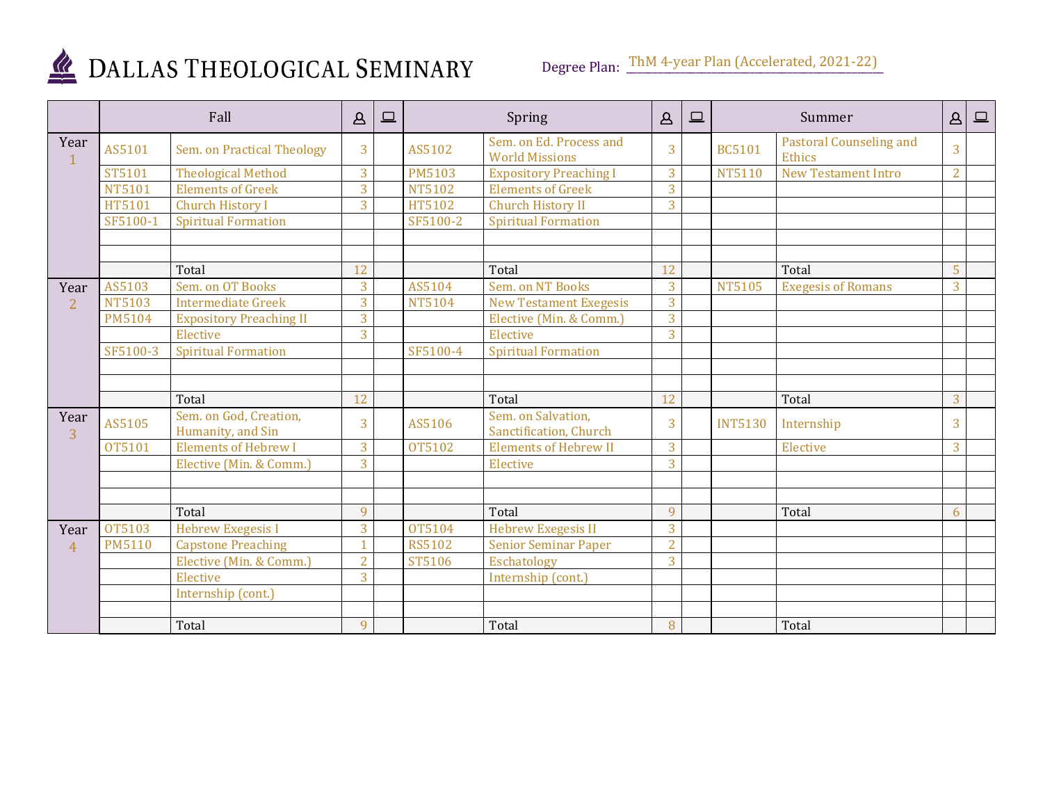

|                        | Fall          |                                             | $\mathbf{A}$                     | 므 | Spring        |                                                  | $\Delta$       | 므 | Summer         |                                          | $\Delta$       | $\qquad \qquad \Box$ |
|------------------------|---------------|---------------------------------------------|----------------------------------|---|---------------|--------------------------------------------------|----------------|---|----------------|------------------------------------------|----------------|----------------------|
| Year<br>1              | AS5101        | Sem. on Practical Theology                  | 3                                |   | AS5102        | Sem. on Ed. Process and<br><b>World Missions</b> | 3              |   | <b>BC5101</b>  | <b>Pastoral Counseling and</b><br>Ethics | $\overline{3}$ |                      |
|                        | ST5101        | <b>Theological Method</b>                   | 3                                |   | <b>PM5103</b> | <b>Expository Preaching I</b>                    | 3              |   | <b>NT5110</b>  | <b>New Testament Intro</b>               | $\overline{2}$ |                      |
|                        | <b>NT5101</b> | <b>Elements of Greek</b>                    | $\overline{3}$                   |   | <b>NT5102</b> | <b>Elements of Greek</b>                         | 3              |   |                |                                          |                |                      |
|                        | HT5101        | <b>Church History I</b>                     | $\overline{3}$                   |   | HT5102        | Church History II                                | 3              |   |                |                                          |                |                      |
|                        | SF5100-1      | <b>Spiritual Formation</b>                  |                                  |   | SF5100-2      | <b>Spiritual Formation</b>                       |                |   |                |                                          |                |                      |
|                        |               |                                             |                                  |   |               |                                                  |                |   |                |                                          |                |                      |
|                        |               | Total                                       | 12                               |   |               | Total                                            | 12             |   |                | Total                                    | 5              |                      |
| Year                   | AS5103        | Sem. on OT Books                            | 3                                |   | AS5104        | Sem. on NT Books                                 | 3              |   | <b>NT5105</b>  | <b>Exegesis of Romans</b>                | 3              |                      |
| $\overline{2}$         | <b>NT5103</b> | <b>Intermediate Greek</b>                   | $\overline{3}$                   |   | <b>NT5104</b> | <b>New Testament Exegesis</b>                    | 3              |   |                |                                          |                |                      |
|                        | <b>PM5104</b> | <b>Expository Preaching II</b>              | $\overline{3}$<br>$\overline{3}$ |   |               | Elective (Min. & Comm.)                          | 3              |   |                |                                          |                |                      |
|                        | SF5100-3      | Elective                                    |                                  |   | SF5100-4      | Elective                                         | 3              |   |                |                                          |                |                      |
|                        |               | <b>Spiritual Formation</b>                  |                                  |   |               | <b>Spiritual Formation</b>                       |                |   |                |                                          |                |                      |
|                        |               |                                             |                                  |   |               |                                                  |                |   |                |                                          |                |                      |
|                        |               | Total                                       | 12                               |   |               | Total                                            | 12             |   |                | Total                                    | 3              |                      |
| Year<br>$\overline{3}$ | AS5105        | Sem. on God, Creation,<br>Humanity, and Sin | 3                                |   | AS5106        | Sem. on Salvation,<br>Sanctification, Church     | 3              |   | <b>INT5130</b> | Internship                               | 3              |                      |
|                        | OT5101        | <b>Elements of Hebrew I</b>                 | 3                                |   | OT5102        | <b>Elements of Hebrew II</b>                     | 3              |   |                | Elective                                 | 3              |                      |
|                        |               | Elective (Min. & Comm.)                     | 3                                |   |               | Elective                                         | $\overline{3}$ |   |                |                                          |                |                      |
|                        |               |                                             |                                  |   |               |                                                  |                |   |                |                                          |                |                      |
|                        |               |                                             |                                  |   |               |                                                  |                |   |                |                                          |                |                      |
|                        |               | Total                                       | $\mathbf{Q}$                     |   |               | Total                                            | $\mathbf{Q}$   |   |                | Total                                    | 6              |                      |
| Year                   | <b>OT5103</b> | <b>Hebrew Exegesis I</b>                    | 3                                |   | OT5104        | <b>Hebrew Exegesis II</b>                        | 3              |   |                |                                          |                |                      |
| $\overline{4}$         | <b>PM5110</b> | <b>Capstone Preaching</b>                   |                                  |   | <b>RS5102</b> | <b>Senior Seminar Paper</b>                      | $\overline{2}$ |   |                |                                          |                |                      |
|                        |               | Elective (Min. & Comm.)                     | $\overline{2}$                   |   | ST5106        | Eschatology                                      | 3              |   |                |                                          |                |                      |
|                        |               | Elective                                    | 3                                |   |               | Internship (cont.)                               |                |   |                |                                          |                |                      |
|                        |               | Internship (cont.)                          |                                  |   |               |                                                  |                |   |                |                                          |                |                      |
|                        |               |                                             |                                  |   |               |                                                  |                |   |                |                                          |                |                      |
|                        |               | Total                                       | 9                                |   |               | Total                                            | 8              |   |                | Total                                    |                |                      |